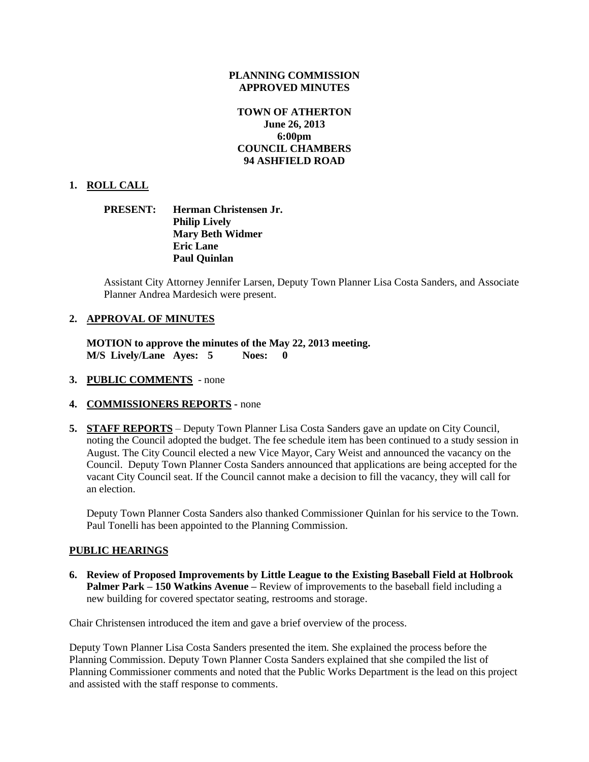#### **PLANNING COMMISSION APPROVED MINUTES**

# **TOWN OF ATHERTON June 26, 2013 6:00pm COUNCIL CHAMBERS 94 ASHFIELD ROAD**

### **1. ROLL CALL**

### **PRESENT: Herman Christensen Jr. Philip Lively Mary Beth Widmer Eric Lane Paul Quinlan**

Assistant City Attorney Jennifer Larsen, Deputy Town Planner Lisa Costa Sanders, and Associate Planner Andrea Mardesich were present.

#### **2. APPROVAL OF MINUTES**

**MOTION to approve the minutes of the May 22, 2013 meeting. M/S Lively/Lane Ayes: 5 Noes: 0** 

- **3. PUBLIC COMMENTS**  none
- **4. COMMISSIONERS REPORTS -** none
- **5. STAFF REPORTS** Deputy Town Planner Lisa Costa Sanders gave an update on City Council, noting the Council adopted the budget. The fee schedule item has been continued to a study session in August. The City Council elected a new Vice Mayor, Cary Weist and announced the vacancy on the Council. Deputy Town Planner Costa Sanders announced that applications are being accepted for the vacant City Council seat. If the Council cannot make a decision to fill the vacancy, they will call for an election.

Deputy Town Planner Costa Sanders also thanked Commissioner Quinlan for his service to the Town. Paul Tonelli has been appointed to the Planning Commission.

#### **PUBLIC HEARINGS**

**6. Review of Proposed Improvements by Little League to the Existing Baseball Field at Holbrook Palmer Park – 150 Watkins Avenue –** Review of improvements to the baseball field including a new building for covered spectator seating, restrooms and storage.

Chair Christensen introduced the item and gave a brief overview of the process.

Deputy Town Planner Lisa Costa Sanders presented the item. She explained the process before the Planning Commission. Deputy Town Planner Costa Sanders explained that she compiled the list of Planning Commissioner comments and noted that the Public Works Department is the lead on this project and assisted with the staff response to comments.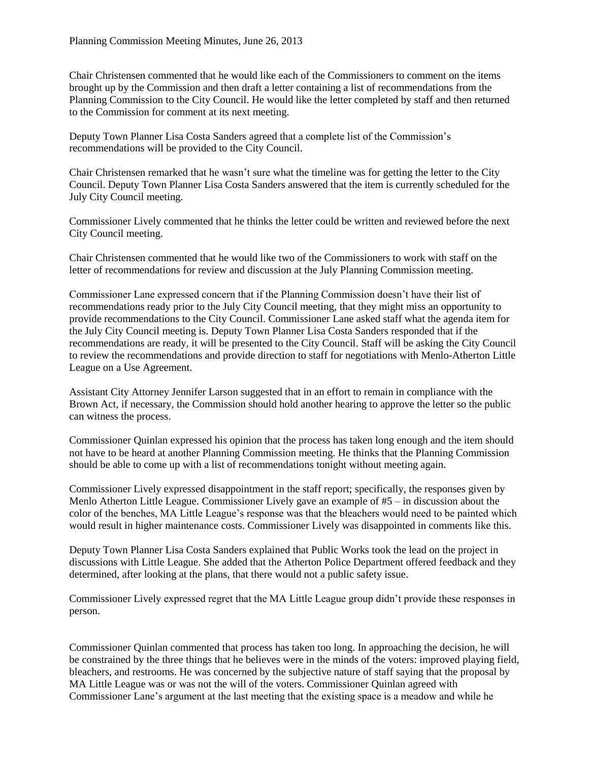Chair Christensen commented that he would like each of the Commissioners to comment on the items brought up by the Commission and then draft a letter containing a list of recommendations from the Planning Commission to the City Council. He would like the letter completed by staff and then returned to the Commission for comment at its next meeting.

Deputy Town Planner Lisa Costa Sanders agreed that a complete list of the Commission's recommendations will be provided to the City Council.

Chair Christensen remarked that he wasn't sure what the timeline was for getting the letter to the City Council. Deputy Town Planner Lisa Costa Sanders answered that the item is currently scheduled for the July City Council meeting.

Commissioner Lively commented that he thinks the letter could be written and reviewed before the next City Council meeting.

Chair Christensen commented that he would like two of the Commissioners to work with staff on the letter of recommendations for review and discussion at the July Planning Commission meeting.

Commissioner Lane expressed concern that if the Planning Commission doesn't have their list of recommendations ready prior to the July City Council meeting, that they might miss an opportunity to provide recommendations to the City Council. Commissioner Lane asked staff what the agenda item for the July City Council meeting is. Deputy Town Planner Lisa Costa Sanders responded that if the recommendations are ready, it will be presented to the City Council. Staff will be asking the City Council to review the recommendations and provide direction to staff for negotiations with Menlo-Atherton Little League on a Use Agreement.

Assistant City Attorney Jennifer Larson suggested that in an effort to remain in compliance with the Brown Act, if necessary, the Commission should hold another hearing to approve the letter so the public can witness the process.

Commissioner Quinlan expressed his opinion that the process has taken long enough and the item should not have to be heard at another Planning Commission meeting. He thinks that the Planning Commission should be able to come up with a list of recommendations tonight without meeting again.

Commissioner Lively expressed disappointment in the staff report; specifically, the responses given by Menlo Atherton Little League. Commissioner Lively gave an example of #5 – in discussion about the color of the benches, MA Little League's response was that the bleachers would need to be painted which would result in higher maintenance costs. Commissioner Lively was disappointed in comments like this.

Deputy Town Planner Lisa Costa Sanders explained that Public Works took the lead on the project in discussions with Little League. She added that the Atherton Police Department offered feedback and they determined, after looking at the plans, that there would not a public safety issue.

Commissioner Lively expressed regret that the MA Little League group didn't provide these responses in person.

Commissioner Quinlan commented that process has taken too long. In approaching the decision, he will be constrained by the three things that he believes were in the minds of the voters: improved playing field, bleachers, and restrooms. He was concerned by the subjective nature of staff saying that the proposal by MA Little League was or was not the will of the voters. Commissioner Quinlan agreed with Commissioner Lane's argument at the last meeting that the existing space is a meadow and while he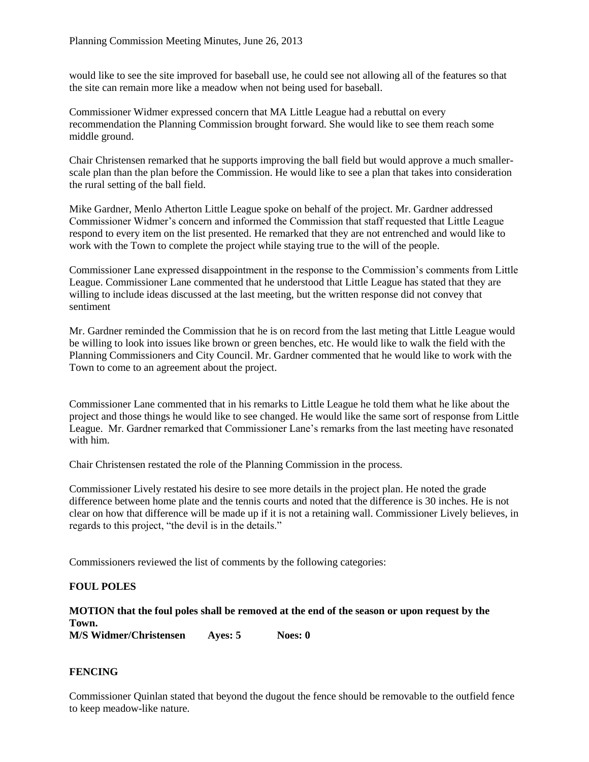would like to see the site improved for baseball use, he could see not allowing all of the features so that the site can remain more like a meadow when not being used for baseball.

Commissioner Widmer expressed concern that MA Little League had a rebuttal on every recommendation the Planning Commission brought forward. She would like to see them reach some middle ground.

Chair Christensen remarked that he supports improving the ball field but would approve a much smallerscale plan than the plan before the Commission. He would like to see a plan that takes into consideration the rural setting of the ball field.

Mike Gardner, Menlo Atherton Little League spoke on behalf of the project. Mr. Gardner addressed Commissioner Widmer's concern and informed the Commission that staff requested that Little League respond to every item on the list presented. He remarked that they are not entrenched and would like to work with the Town to complete the project while staying true to the will of the people.

Commissioner Lane expressed disappointment in the response to the Commission's comments from Little League. Commissioner Lane commented that he understood that Little League has stated that they are willing to include ideas discussed at the last meeting, but the written response did not convey that sentiment

Mr. Gardner reminded the Commission that he is on record from the last meting that Little League would be willing to look into issues like brown or green benches, etc. He would like to walk the field with the Planning Commissioners and City Council. Mr. Gardner commented that he would like to work with the Town to come to an agreement about the project.

Commissioner Lane commented that in his remarks to Little League he told them what he like about the project and those things he would like to see changed. He would like the same sort of response from Little League. Mr. Gardner remarked that Commissioner Lane's remarks from the last meeting have resonated with him.

Chair Christensen restated the role of the Planning Commission in the process.

Commissioner Lively restated his desire to see more details in the project plan. He noted the grade difference between home plate and the tennis courts and noted that the difference is 30 inches. He is not clear on how that difference will be made up if it is not a retaining wall. Commissioner Lively believes, in regards to this project, "the devil is in the details."

Commissioners reviewed the list of comments by the following categories:

### **FOUL POLES**

# **MOTION that the foul poles shall be removed at the end of the season or upon request by the Town.**

**M/S Widmer/Christensen Ayes: 5 Noes: 0**

### **FENCING**

Commissioner Quinlan stated that beyond the dugout the fence should be removable to the outfield fence to keep meadow-like nature.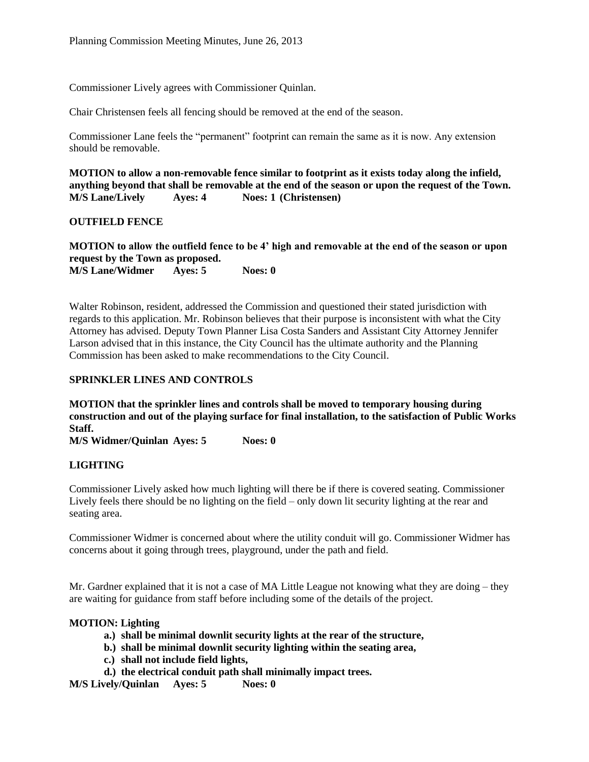Commissioner Lively agrees with Commissioner Quinlan.

Chair Christensen feels all fencing should be removed at the end of the season.

Commissioner Lane feels the "permanent" footprint can remain the same as it is now. Any extension should be removable.

**MOTION to allow a non-removable fence similar to footprint as it exists today along the infield, anything beyond that shall be removable at the end of the season or upon the request of the Town. M/S Lane/Lively Ayes: 4 Noes: 1 (Christensen)**

**OUTFIELD FENCE**

**MOTION to allow the outfield fence to be 4' high and removable at the end of the season or upon request by the Town as proposed.**

**M/S Lane/Widmer Ayes: 5 Noes: 0**

Walter Robinson, resident, addressed the Commission and questioned their stated jurisdiction with regards to this application. Mr. Robinson believes that their purpose is inconsistent with what the City Attorney has advised. Deputy Town Planner Lisa Costa Sanders and Assistant City Attorney Jennifer Larson advised that in this instance, the City Council has the ultimate authority and the Planning Commission has been asked to make recommendations to the City Council.

### **SPRINKLER LINES AND CONTROLS**

**MOTION that the sprinkler lines and controls shall be moved to temporary housing during construction and out of the playing surface for final installation, to the satisfaction of Public Works Staff.**

**M/S Widmer/Quinlan Ayes: 5 Noes: 0**

# **LIGHTING**

Commissioner Lively asked how much lighting will there be if there is covered seating. Commissioner Lively feels there should be no lighting on the field – only down lit security lighting at the rear and seating area.

Commissioner Widmer is concerned about where the utility conduit will go. Commissioner Widmer has concerns about it going through trees, playground, under the path and field.

Mr. Gardner explained that it is not a case of MA Little League not knowing what they are doing – they are waiting for guidance from staff before including some of the details of the project.

### **MOTION: Lighting**

- **a.) shall be minimal downlit security lights at the rear of the structure,**
- **b.) shall be minimal downlit security lighting within the seating area,**
- **c.) shall not include field lights,**
- **d.) the electrical conduit path shall minimally impact trees.**

**M/S Lively/Quinlan Ayes: 5 Noes: 0**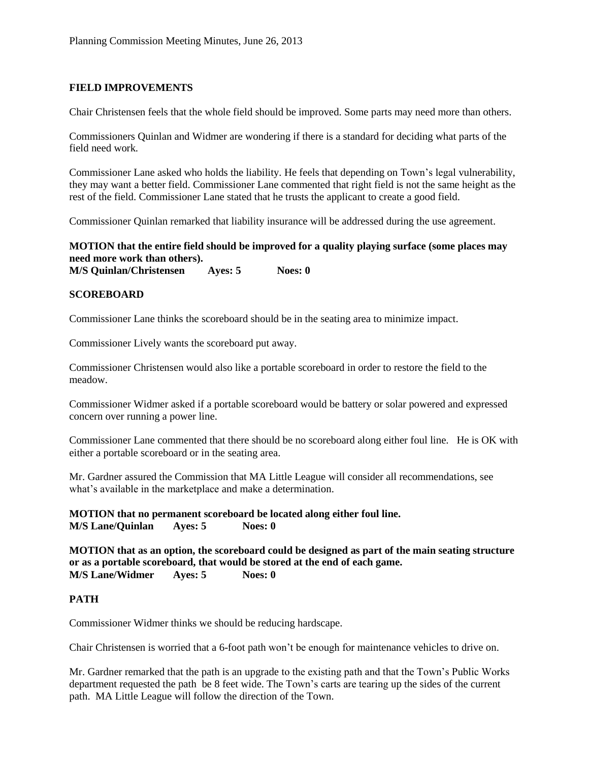# **FIELD IMPROVEMENTS**

Chair Christensen feels that the whole field should be improved. Some parts may need more than others.

Commissioners Quinlan and Widmer are wondering if there is a standard for deciding what parts of the field need work.

Commissioner Lane asked who holds the liability. He feels that depending on Town's legal vulnerability, they may want a better field. Commissioner Lane commented that right field is not the same height as the rest of the field. Commissioner Lane stated that he trusts the applicant to create a good field.

Commissioner Quinlan remarked that liability insurance will be addressed during the use agreement.

# **MOTION that the entire field should be improved for a quality playing surface (some places may need more work than others).**

**M/S Quinlan/Christensen Ayes: 5 Noes: 0**

### **SCOREBOARD**

Commissioner Lane thinks the scoreboard should be in the seating area to minimize impact.

Commissioner Lively wants the scoreboard put away.

Commissioner Christensen would also like a portable scoreboard in order to restore the field to the meadow.

Commissioner Widmer asked if a portable scoreboard would be battery or solar powered and expressed concern over running a power line.

Commissioner Lane commented that there should be no scoreboard along either foul line. He is OK with either a portable scoreboard or in the seating area.

Mr. Gardner assured the Commission that MA Little League will consider all recommendations, see what's available in the marketplace and make a determination.

**MOTION that no permanent scoreboard be located along either foul line. M/S Lane/Quinlan Ayes: 5 Noes: 0**

**MOTION that as an option, the scoreboard could be designed as part of the main seating structure or as a portable scoreboard, that would be stored at the end of each game. M/S Lane/Widmer Ayes: 5 Noes: 0**

### **PATH**

Commissioner Widmer thinks we should be reducing hardscape.

Chair Christensen is worried that a 6-foot path won't be enough for maintenance vehicles to drive on.

Mr. Gardner remarked that the path is an upgrade to the existing path and that the Town's Public Works department requested the path be 8 feet wide. The Town's carts are tearing up the sides of the current path. MA Little League will follow the direction of the Town.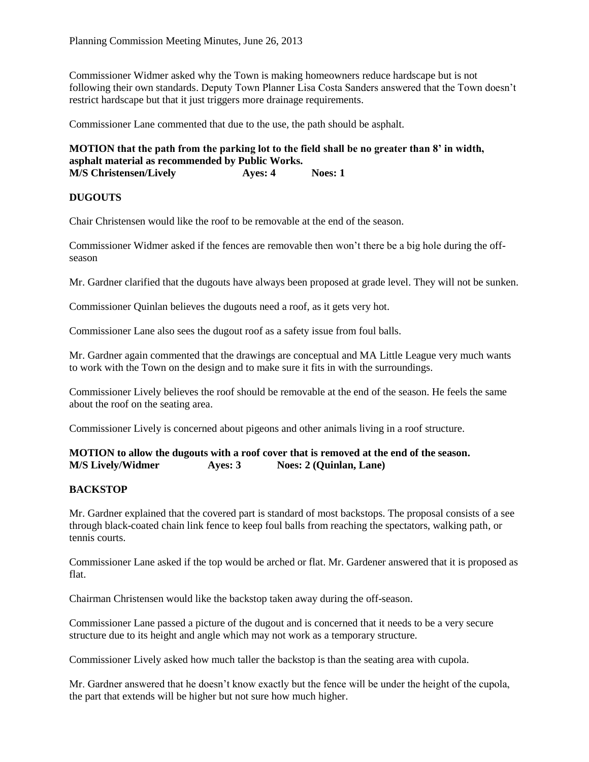Commissioner Widmer asked why the Town is making homeowners reduce hardscape but is not following their own standards. Deputy Town Planner Lisa Costa Sanders answered that the Town doesn't restrict hardscape but that it just triggers more drainage requirements.

Commissioner Lane commented that due to the use, the path should be asphalt.

**MOTION that the path from the parking lot to the field shall be no greater than 8' in width, asphalt material as recommended by Public Works. M/S Christensen/Lively Ayes: 4 Noes: 1**

### **DUGOUTS**

Chair Christensen would like the roof to be removable at the end of the season.

Commissioner Widmer asked if the fences are removable then won't there be a big hole during the offseason

Mr. Gardner clarified that the dugouts have always been proposed at grade level. They will not be sunken.

Commissioner Quinlan believes the dugouts need a roof, as it gets very hot.

Commissioner Lane also sees the dugout roof as a safety issue from foul balls.

Mr. Gardner again commented that the drawings are conceptual and MA Little League very much wants to work with the Town on the design and to make sure it fits in with the surroundings.

Commissioner Lively believes the roof should be removable at the end of the season. He feels the same about the roof on the seating area.

Commissioner Lively is concerned about pigeons and other animals living in a roof structure.

### **MOTION to allow the dugouts with a roof cover that is removed at the end of the season. M/S Lively/Widmer Ayes: 3 Noes: 2 (Quinlan, Lane)**

### **BACKSTOP**

Mr. Gardner explained that the covered part is standard of most backstops. The proposal consists of a see through black-coated chain link fence to keep foul balls from reaching the spectators, walking path, or tennis courts.

Commissioner Lane asked if the top would be arched or flat. Mr. Gardener answered that it is proposed as flat.

Chairman Christensen would like the backstop taken away during the off-season.

Commissioner Lane passed a picture of the dugout and is concerned that it needs to be a very secure structure due to its height and angle which may not work as a temporary structure.

Commissioner Lively asked how much taller the backstop is than the seating area with cupola.

Mr. Gardner answered that he doesn't know exactly but the fence will be under the height of the cupola, the part that extends will be higher but not sure how much higher.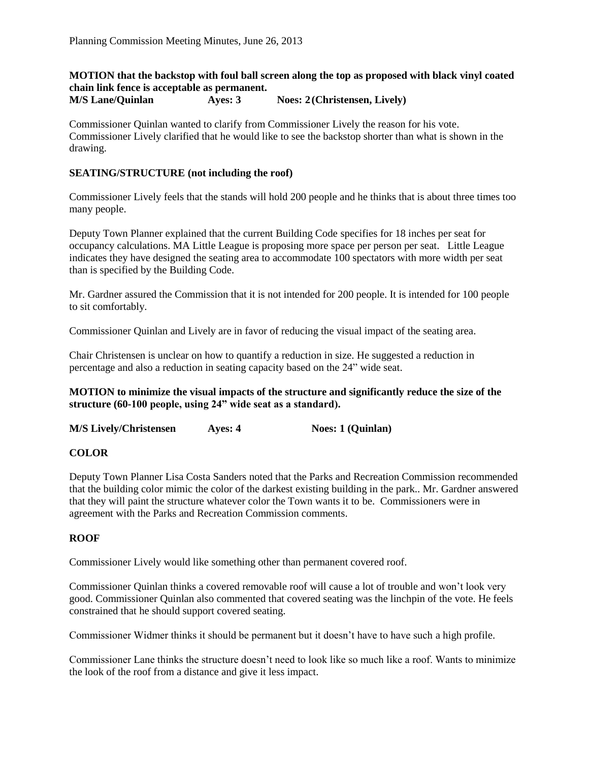### **MOTION that the backstop with foul ball screen along the top as proposed with black vinyl coated chain link fence is acceptable as permanent. M/S Lane/Quinlan Ayes: 3 Noes: 2(Christensen, Lively)**

Commissioner Quinlan wanted to clarify from Commissioner Lively the reason for his vote. Commissioner Lively clarified that he would like to see the backstop shorter than what is shown in the drawing.

### **SEATING/STRUCTURE (not including the roof)**

Commissioner Lively feels that the stands will hold 200 people and he thinks that is about three times too many people.

Deputy Town Planner explained that the current Building Code specifies for 18 inches per seat for occupancy calculations. MA Little League is proposing more space per person per seat. Little League indicates they have designed the seating area to accommodate 100 spectators with more width per seat than is specified by the Building Code.

Mr. Gardner assured the Commission that it is not intended for 200 people. It is intended for 100 people to sit comfortably.

Commissioner Quinlan and Lively are in favor of reducing the visual impact of the seating area.

Chair Christensen is unclear on how to quantify a reduction in size. He suggested a reduction in percentage and also a reduction in seating capacity based on the 24" wide seat.

**MOTION to minimize the visual impacts of the structure and significantly reduce the size of the structure (60-100 people, using 24" wide seat as a standard).**

**M/S Lively/Christensen Ayes: 4 Noes: 1 (Quinlan)**

### **COLOR**

Deputy Town Planner Lisa Costa Sanders noted that the Parks and Recreation Commission recommended that the building color mimic the color of the darkest existing building in the park.. Mr. Gardner answered that they will paint the structure whatever color the Town wants it to be. Commissioners were in agreement with the Parks and Recreation Commission comments.

### **ROOF**

Commissioner Lively would like something other than permanent covered roof.

Commissioner Quinlan thinks a covered removable roof will cause a lot of trouble and won't look very good. Commissioner Quinlan also commented that covered seating was the linchpin of the vote. He feels constrained that he should support covered seating.

Commissioner Widmer thinks it should be permanent but it doesn't have to have such a high profile.

Commissioner Lane thinks the structure doesn't need to look like so much like a roof. Wants to minimize the look of the roof from a distance and give it less impact.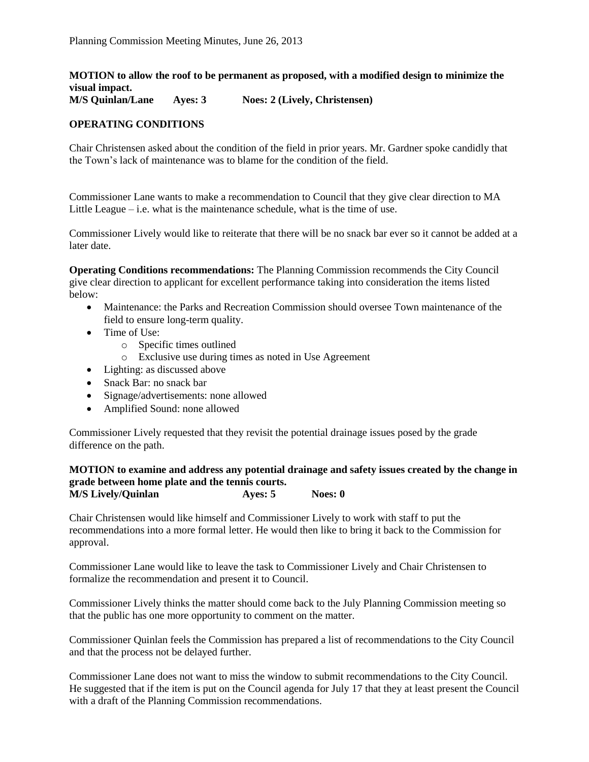**MOTION to allow the roof to be permanent as proposed, with a modified design to minimize the visual impact.**

**M/S Quinlan/Lane Ayes: 3 Noes: 2 (Lively, Christensen)**

# **OPERATING CONDITIONS**

Chair Christensen asked about the condition of the field in prior years. Mr. Gardner spoke candidly that the Town's lack of maintenance was to blame for the condition of the field.

Commissioner Lane wants to make a recommendation to Council that they give clear direction to MA Little League  $-$  i.e. what is the maintenance schedule, what is the time of use.

Commissioner Lively would like to reiterate that there will be no snack bar ever so it cannot be added at a later date.

**Operating Conditions recommendations:** The Planning Commission recommends the City Council give clear direction to applicant for excellent performance taking into consideration the items listed below:

- Maintenance: the Parks and Recreation Commission should oversee Town maintenance of the field to ensure long-term quality.
- Time of Use:
	- o Specific times outlined
	- o Exclusive use during times as noted in Use Agreement
- Lighting: as discussed above
- Snack Bar: no snack bar
- Signage/advertisements: none allowed
- Amplified Sound: none allowed

Commissioner Lively requested that they revisit the potential drainage issues posed by the grade difference on the path.

#### **MOTION to examine and address any potential drainage and safety issues created by the change in grade between home plate and the tennis courts. M/S Lively/Quinlan Ayes: 5 Noes: 0**

Chair Christensen would like himself and Commissioner Lively to work with staff to put the recommendations into a more formal letter. He would then like to bring it back to the Commission for approval.

Commissioner Lane would like to leave the task to Commissioner Lively and Chair Christensen to formalize the recommendation and present it to Council.

Commissioner Lively thinks the matter should come back to the July Planning Commission meeting so that the public has one more opportunity to comment on the matter.

Commissioner Quinlan feels the Commission has prepared a list of recommendations to the City Council and that the process not be delayed further.

Commissioner Lane does not want to miss the window to submit recommendations to the City Council. He suggested that if the item is put on the Council agenda for July 17 that they at least present the Council with a draft of the Planning Commission recommendations.